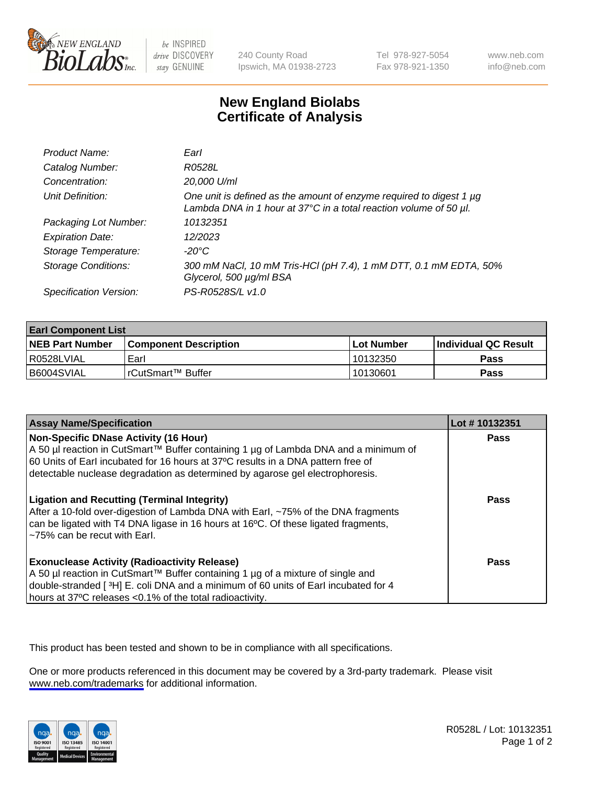

be INSPIRED drive DISCOVERY stay GENUINE

240 County Road Ipswich, MA 01938-2723 Tel 978-927-5054 Fax 978-921-1350

www.neb.com info@neb.com

## **New England Biolabs Certificate of Analysis**

| Product Name:              | Earl                                                                                                                                                         |
|----------------------------|--------------------------------------------------------------------------------------------------------------------------------------------------------------|
| Catalog Number:            | R0528L                                                                                                                                                       |
| Concentration:             | 20,000 U/ml                                                                                                                                                  |
| Unit Definition:           | One unit is defined as the amount of enzyme required to digest 1 $\mu$ g<br>Lambda DNA in 1 hour at $37^{\circ}$ C in a total reaction volume of 50 $\mu$ l. |
| Packaging Lot Number:      | 10132351                                                                                                                                                     |
| <b>Expiration Date:</b>    | 12/2023                                                                                                                                                      |
| Storage Temperature:       | -20°C                                                                                                                                                        |
| <b>Storage Conditions:</b> | 300 mM NaCl, 10 mM Tris-HCl (pH 7.4), 1 mM DTT, 0.1 mM EDTA, 50%<br>Glycerol, 500 µg/ml BSA                                                                  |
| Specification Version:     | PS-R0528S/L v1.0                                                                                                                                             |

| <b>Earl Component List</b> |                         |              |                             |  |
|----------------------------|-------------------------|--------------|-----------------------------|--|
| <b>NEB Part Number</b>     | l Component Description | l Lot Number | <b>Individual QC Result</b> |  |
| I R0528LVIAL               | Earl                    | 10132350     | Pass                        |  |
| B6004SVIAL                 | l rCutSmart™ Buffer_    | 10130601     | Pass                        |  |

| <b>Assay Name/Specification</b>                                                                                                                                                                                                                                                                   | Lot #10132351 |
|---------------------------------------------------------------------------------------------------------------------------------------------------------------------------------------------------------------------------------------------------------------------------------------------------|---------------|
| Non-Specific DNase Activity (16 Hour)<br>A 50 µl reaction in CutSmart™ Buffer containing 1 µg of Lambda DNA and a minimum of<br>60 Units of Earl incubated for 16 hours at 37°C results in a DNA pattern free of<br>detectable nuclease degradation as determined by agarose gel electrophoresis. | Pass          |
| <b>Ligation and Recutting (Terminal Integrity)</b><br>After a 10-fold over-digestion of Lambda DNA with Earl, ~75% of the DNA fragments<br>can be ligated with T4 DNA ligase in 16 hours at 16 <sup>o</sup> C. Of these ligated fragments,<br>~75% can be recut with Earl.                        | Pass          |
| <b>Exonuclease Activity (Radioactivity Release)</b><br>A 50 µl reaction in CutSmart™ Buffer containing 1 µg of a mixture of single and<br>double-stranded [3H] E. coli DNA and a minimum of 60 units of Earl incubated for 4<br>hours at 37°C releases <0.1% of the total radioactivity.          | Pass          |

This product has been tested and shown to be in compliance with all specifications.

One or more products referenced in this document may be covered by a 3rd-party trademark. Please visit <www.neb.com/trademarks>for additional information.